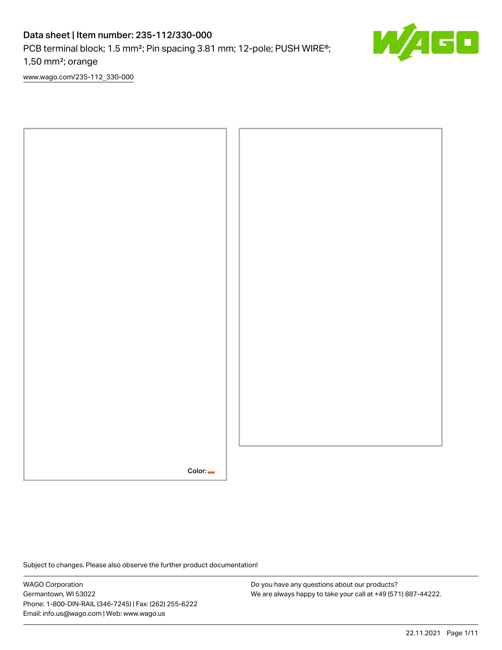# Data sheet | Item number: 235-112/330-000

PCB terminal block; 1.5 mm<sup>2</sup>; Pin spacing 3.81 mm; 12-pole; PUSH WIRE<sup>®</sup>;

1,50 mm²; orange

[www.wago.com/235-112\\_330-000](http://www.wago.com/235-112_330-000)



Subject to changes. Please also observe the further product documentation!

WAGO Corporation Germantown, WI 53022 Phone: 1-800-DIN-RAIL (346-7245) | Fax: (262) 255-6222 Email: info.us@wago.com | Web: www.wago.us

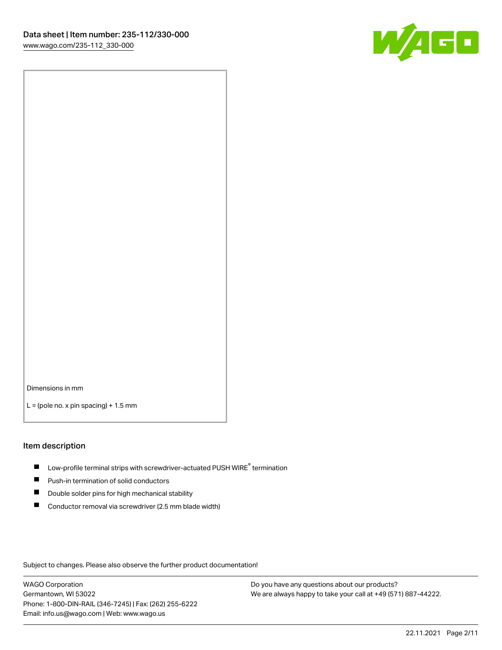

Dimensions in mm

 $L =$  (pole no. x pin spacing) + 1.5 mm

#### Item description

- $\blacksquare$  Low-profile terminal strips with screwdriver-actuated PUSH WIRE<sup>®</sup> termination
- **Push-in termination of solid conductors**
- $\blacksquare$ Double solder pins for high mechanical stability
- П Conductor removal via screwdriver (2.5 mm blade width)

Subject to changes. Please also observe the further product documentation!

WAGO Corporation Germantown, WI 53022 Phone: 1-800-DIN-RAIL (346-7245) | Fax: (262) 255-6222 Email: info.us@wago.com | Web: www.wago.us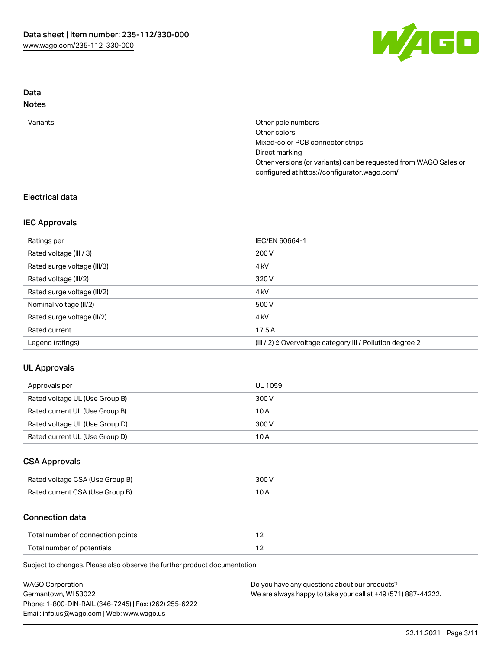

## Data Notes

| Other pole numbers                                               |
|------------------------------------------------------------------|
| Other colors                                                     |
| Mixed-color PCB connector strips                                 |
| Direct marking                                                   |
| Other versions (or variants) can be requested from WAGO Sales or |
| configured at https://configurator.wago.com/                     |
|                                                                  |

# Electrical data

## IEC Approvals

| Ratings per                 | IEC/EN 60664-1                                                        |
|-----------------------------|-----------------------------------------------------------------------|
| Rated voltage (III / 3)     | 200 V                                                                 |
| Rated surge voltage (III/3) | 4 <sub>k</sub> V                                                      |
| Rated voltage (III/2)       | 320 V                                                                 |
| Rated surge voltage (III/2) | 4 <sub>k</sub> V                                                      |
| Nominal voltage (II/2)      | 500 V                                                                 |
| Rated surge voltage (II/2)  | 4 <sub>k</sub> V                                                      |
| Rated current               | 17.5A                                                                 |
| Legend (ratings)            | $(III / 2)$ $\triangle$ Overvoltage category III / Pollution degree 2 |

## UL Approvals

| Approvals per                  | UL 1059 |
|--------------------------------|---------|
| Rated voltage UL (Use Group B) | 300 V   |
| Rated current UL (Use Group B) | 10 A    |
| Rated voltage UL (Use Group D) | 300 V   |
| Rated current UL (Use Group D) | 10 A    |

## CSA Approvals

| Rated voltage CSA (Use Group B) | 300 V |
|---------------------------------|-------|
| Rated current CSA (Use Group B) |       |

## Connection data

| Total number of connection points |  |
|-----------------------------------|--|
| Total number of potentials        |  |

Subject to changes. Please also observe the further product documentation!

| <b>WAGO Corporation</b>                                | Do you have any questions about our products?                 |
|--------------------------------------------------------|---------------------------------------------------------------|
| Germantown, WI 53022                                   | We are always happy to take your call at +49 (571) 887-44222. |
| Phone: 1-800-DIN-RAIL (346-7245)   Fax: (262) 255-6222 |                                                               |
| Email: info.us@wago.com   Web: www.wago.us             |                                                               |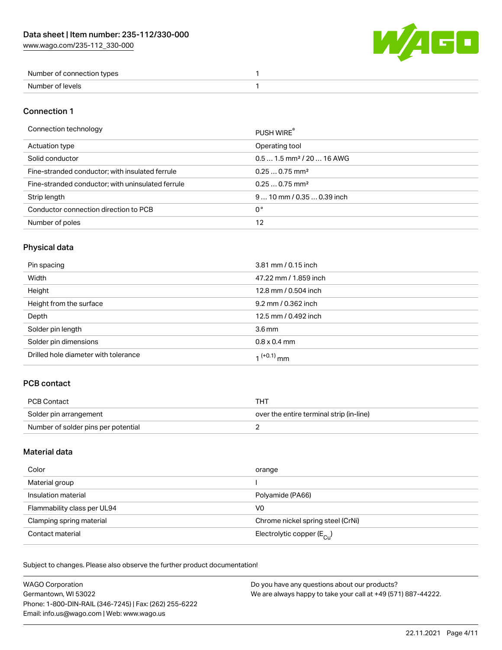

| Number of connection types |  |
|----------------------------|--|
| Number of levels           |  |

#### Connection 1

#### Connection technology PUSH WIRE®

|                                                   | <b>PUSH WIRE</b>                      |
|---------------------------------------------------|---------------------------------------|
| Actuation type                                    | Operating tool                        |
| Solid conductor                                   | $0.51.5$ mm <sup>2</sup> / 20  16 AWG |
| Fine-stranded conductor; with insulated ferrule   | $0.250.75$ mm <sup>2</sup>            |
| Fine-stranded conductor; with uninsulated ferrule | $0.250.75$ mm <sup>2</sup>            |
| Strip length                                      | $910$ mm / 0.35  0.39 inch            |
| Conductor connection direction to PCB             | 0°                                    |
| Number of poles                                   | 12                                    |
|                                                   |                                       |

# Physical data

| Pin spacing                          | 3.81 mm / 0.15 inch   |
|--------------------------------------|-----------------------|
| Width                                | 47.22 mm / 1.859 inch |
| Height                               | 12.8 mm / 0.504 inch  |
| Height from the surface              | 9.2 mm / 0.362 inch   |
| Depth                                | 12.5 mm / 0.492 inch  |
| Solder pin length                    | 3.6 <sub>mm</sub>     |
| Solder pin dimensions                | $0.8 \times 0.4$ mm   |
| Drilled hole diameter with tolerance | $1^{(+0.1)}$ mm       |

# PCB contact

| <b>PCB Contact</b>                  | THT                                      |
|-------------------------------------|------------------------------------------|
| Solder pin arrangement              | over the entire terminal strip (in-line) |
| Number of solder pins per potential |                                          |

# Material data

| Color                       | orange                                |
|-----------------------------|---------------------------------------|
| Material group              |                                       |
| Insulation material         | Polyamide (PA66)                      |
| Flammability class per UL94 | V0                                    |
| Clamping spring material    | Chrome nickel spring steel (CrNi)     |
| Contact material            | Electrolytic copper $(E_{\text{Cl}})$ |

Subject to changes. Please also observe the further product documentation!

| <b>WAGO Corporation</b>                                | Do you have any questions about our products?                 |
|--------------------------------------------------------|---------------------------------------------------------------|
| Germantown, WI 53022                                   | We are always happy to take your call at +49 (571) 887-44222. |
| Phone: 1-800-DIN-RAIL (346-7245)   Fax: (262) 255-6222 |                                                               |
| Email: info.us@wago.com   Web: www.wago.us             |                                                               |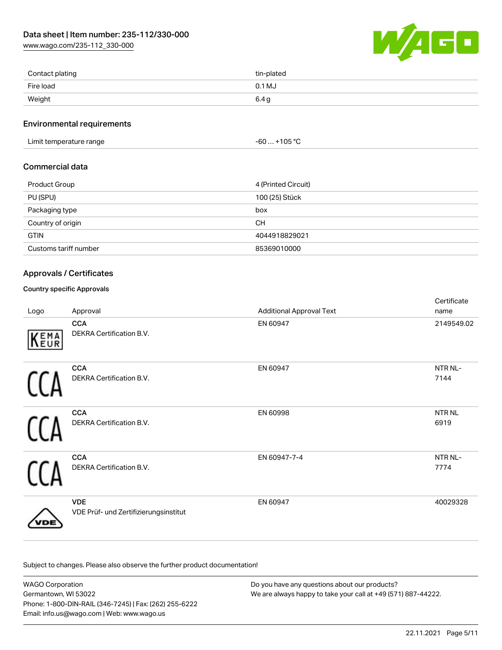[www.wago.com/235-112\\_330-000](http://www.wago.com/235-112_330-000)



| Contact plating | tin-plated |
|-----------------|------------|
| Fire load       | $0.1$ MJ   |
| Weight          | 6.4 g      |

#### Environmental requirements

Limit temperature range  $-60...+105$  °C

#### Commercial data

| <b>Product Group</b>  | 4 (Printed Circuit) |
|-----------------------|---------------------|
| PU (SPU)              | 100 (25) Stück      |
| Packaging type        | box                 |
| Country of origin     | <b>CH</b>           |
| <b>GTIN</b>           | 4044918829021       |
| Customs tariff number | 85369010000         |

## Approvals / Certificates

## Country specific Approvals

| Logo | Approval                                            | <b>Additional Approval Text</b> | Certificate<br>name       |
|------|-----------------------------------------------------|---------------------------------|---------------------------|
| KEMA | <b>CCA</b><br>DEKRA Certification B.V.              | EN 60947                        | 2149549.02                |
|      | <b>CCA</b><br>DEKRA Certification B.V.              | EN 60947                        | NTR NL-<br>7144           |
|      | <b>CCA</b><br>DEKRA Certification B.V.              | EN 60998                        | NTR <sub>NL</sub><br>6919 |
|      | <b>CCA</b><br>DEKRA Certification B.V.              | EN 60947-7-4                    | NTR NL-<br>7774           |
|      | <b>VDE</b><br>VDE Prüf- und Zertifizierungsinstitut | EN 60947                        | 40029328                  |

Subject to changes. Please also observe the further product documentation!

WAGO Corporation Germantown, WI 53022 Phone: 1-800-DIN-RAIL (346-7245) | Fax: (262) 255-6222 Email: info.us@wago.com | Web: www.wago.us Do you have any questions about our products? We are always happy to take your call at +49 (571) 887-44222.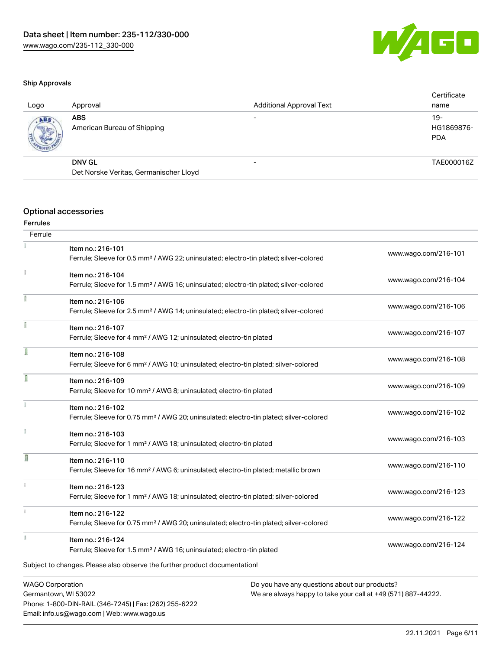

#### Ship Approvals

| Logo       | Approval                                  | <b>Additional Approval Text</b> | Certificate<br>name               |
|------------|-------------------------------------------|---------------------------------|-----------------------------------|
| <b>ABS</b> | <b>ABS</b><br>American Bureau of Shipping |                                 | $19-$<br>HG1869876-<br><b>PDA</b> |
|            | <b>DNV GL</b>                             | $\overline{\phantom{0}}$        | TAE000016Z                        |
|            | Det Norske Veritas, Germanischer Lloyd    |                                 |                                   |
|            |                                           |                                 |                                   |

## Optional accessories

## Ferrules **Ferrule**

|    | Item no.: 216-101                                                                                  | www.wago.com/216-101                                          |
|----|----------------------------------------------------------------------------------------------------|---------------------------------------------------------------|
|    | Ferrule; Sleeve for 0.5 mm <sup>2</sup> / AWG 22; uninsulated; electro-tin plated; silver-colored  |                                                               |
|    | Item no.: 216-104                                                                                  | www.wago.com/216-104                                          |
|    | Ferrule; Sleeve for 1.5 mm <sup>2</sup> / AWG 16; uninsulated; electro-tin plated; silver-colored  |                                                               |
|    | Item no.: 216-106                                                                                  | www.wago.com/216-106                                          |
|    | Ferrule; Sleeve for 2.5 mm <sup>2</sup> / AWG 14; uninsulated; electro-tin plated; silver-colored  |                                                               |
|    | Item no.: 216-107                                                                                  |                                                               |
|    | Ferrule; Sleeve for 4 mm <sup>2</sup> / AWG 12; uninsulated; electro-tin plated                    | www.wago.com/216-107                                          |
| ſ  | Item no.: 216-108                                                                                  |                                                               |
|    | Ferrule; Sleeve for 6 mm <sup>2</sup> / AWG 10; uninsulated; electro-tin plated; silver-colored    | www.wago.com/216-108                                          |
|    | Item no.: 216-109                                                                                  |                                                               |
|    | Ferrule; Sleeve for 10 mm <sup>2</sup> / AWG 8; uninsulated; electro-tin plated                    | www.wago.com/216-109                                          |
|    | Item no.: 216-102                                                                                  |                                                               |
|    | Ferrule; Sleeve for 0.75 mm <sup>2</sup> / AWG 20; uninsulated; electro-tin plated; silver-colored | www.wago.com/216-102                                          |
|    | Item no.: 216-103                                                                                  |                                                               |
|    | Ferrule; Sleeve for 1 mm <sup>2</sup> / AWG 18; uninsulated; electro-tin plated                    | www.wago.com/216-103                                          |
| I  | Item no.: 216-110                                                                                  |                                                               |
|    | Ferrule; Sleeve for 16 mm <sup>2</sup> / AWG 6; uninsulated; electro-tin plated; metallic brown    | www.wago.com/216-110                                          |
| ī. | Item no.: 216-123                                                                                  |                                                               |
|    | Ferrule; Sleeve for 1 mm <sup>2</sup> / AWG 18; uninsulated; electro-tin plated; silver-colored    | www.wago.com/216-123                                          |
| i. | Item no.: 216-122                                                                                  |                                                               |
|    | Ferrule; Sleeve for 0.75 mm <sup>2</sup> / AWG 20; uninsulated; electro-tin plated; silver-colored | www.wago.com/216-122                                          |
|    | Item no.: 216-124                                                                                  |                                                               |
|    | Ferrule; Sleeve for 1.5 mm <sup>2</sup> / AWG 16; uninsulated; electro-tin plated                  | www.wago.com/216-124                                          |
|    | Subject to changes. Please also observe the further product documentation!                         |                                                               |
|    | <b>WAGO Corporation</b>                                                                            | Do you have any questions about our products?                 |
|    | Germantown, WI 53022                                                                               | We are always hanny to take your call at $+49(571)$ 887-44222 |

Germantown, WI 53022 Phone: 1-800-DIN-RAIL (346-7245) | Fax: (262) 255-6222 Email: info.us@wago.com | Web: www.wago.us

ays happy to take your call at +49 (571) 88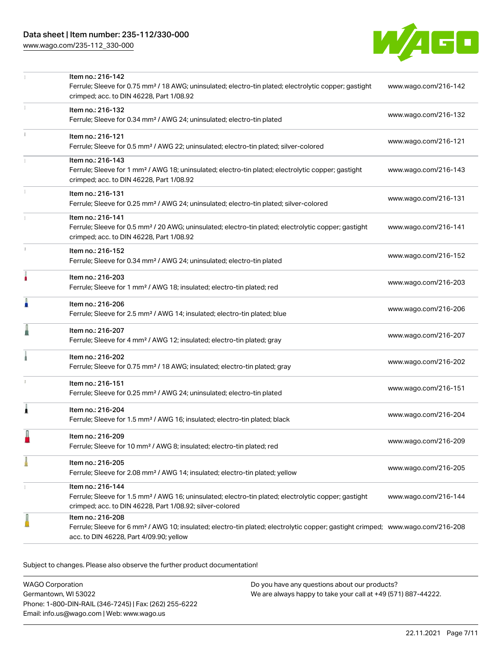[www.wago.com/235-112\\_330-000](http://www.wago.com/235-112_330-000)



|    | Item no.: 216-142<br>Ferrule; Sleeve for 0.75 mm <sup>2</sup> / 18 AWG; uninsulated; electro-tin plated; electrolytic copper; gastight<br>crimped; acc. to DIN 46228, Part 1/08.92                         | www.wago.com/216-142 |
|----|------------------------------------------------------------------------------------------------------------------------------------------------------------------------------------------------------------|----------------------|
|    | Item no.: 216-132<br>Ferrule; Sleeve for 0.34 mm <sup>2</sup> / AWG 24; uninsulated; electro-tin plated                                                                                                    | www.wago.com/216-132 |
|    | Item no.: 216-121<br>Ferrule; Sleeve for 0.5 mm <sup>2</sup> / AWG 22; uninsulated; electro-tin plated; silver-colored                                                                                     | www.wago.com/216-121 |
|    | Item no.: 216-143<br>Ferrule; Sleeve for 1 mm <sup>2</sup> / AWG 18; uninsulated; electro-tin plated; electrolytic copper; gastight<br>crimped; acc. to DIN 46228, Part 1/08.92                            | www.wago.com/216-143 |
|    | Item no.: 216-131<br>Ferrule; Sleeve for 0.25 mm <sup>2</sup> / AWG 24; uninsulated; electro-tin plated; silver-colored                                                                                    | www.wago.com/216-131 |
|    | Item no.: 216-141<br>Ferrule; Sleeve for 0.5 mm <sup>2</sup> / 20 AWG; uninsulated; electro-tin plated; electrolytic copper; gastight<br>crimped; acc. to DIN 46228, Part 1/08.92                          | www.wago.com/216-141 |
| J. | Item no.: 216-152<br>Ferrule; Sleeve for 0.34 mm <sup>2</sup> / AWG 24; uninsulated; electro-tin plated                                                                                                    | www.wago.com/216-152 |
|    | Item no.: 216-203<br>Ferrule; Sleeve for 1 mm <sup>2</sup> / AWG 18; insulated; electro-tin plated; red                                                                                                    | www.wago.com/216-203 |
| n  | Item no.: 216-206<br>Ferrule; Sleeve for 2.5 mm <sup>2</sup> / AWG 14; insulated; electro-tin plated; blue                                                                                                 | www.wago.com/216-206 |
|    | Item no.: 216-207<br>Ferrule; Sleeve for 4 mm <sup>2</sup> / AWG 12; insulated; electro-tin plated; gray                                                                                                   | www.wago.com/216-207 |
|    | Item no.: 216-202<br>Ferrule; Sleeve for 0.75 mm <sup>2</sup> / 18 AWG; insulated; electro-tin plated; gray                                                                                                | www.wago.com/216-202 |
|    | Item no.: 216-151<br>Ferrule; Sleeve for 0.25 mm <sup>2</sup> / AWG 24; uninsulated; electro-tin plated                                                                                                    | www.wago.com/216-151 |
| 1  | Item no.: 216-204<br>Ferrule; Sleeve for 1.5 mm <sup>2</sup> / AWG 16; insulated; electro-tin plated; black                                                                                                | www.wago.com/216-204 |
|    | Item no.: 216-209<br>Ferrule; Sleeve for 10 mm <sup>2</sup> / AWG 8; insulated; electro-tin plated; red                                                                                                    | www.wago.com/216-209 |
|    | Item no.: 216-205<br>Ferrule; Sleeve for 2.08 mm <sup>2</sup> / AWG 14; insulated; electro-tin plated; yellow                                                                                              | www.wago.com/216-205 |
|    | Item no.: 216-144<br>Ferrule; Sleeve for 1.5 mm <sup>2</sup> / AWG 16; uninsulated; electro-tin plated; electrolytic copper; gastight<br>crimped; acc. to DIN 46228, Part 1/08.92; silver-colored          | www.wago.com/216-144 |
|    | Item no.: 216-208<br>Ferrule; Sleeve for 6 mm <sup>2</sup> / AWG 10; insulated; electro-tin plated; electrolytic copper; gastight crimped; www.wago.com/216-208<br>acc. to DIN 46228, Part 4/09.90; yellow |                      |

Subject to changes. Please also observe the further product documentation!

WAGO Corporation Germantown, WI 53022 Phone: 1-800-DIN-RAIL (346-7245) | Fax: (262) 255-6222 Email: info.us@wago.com | Web: www.wago.us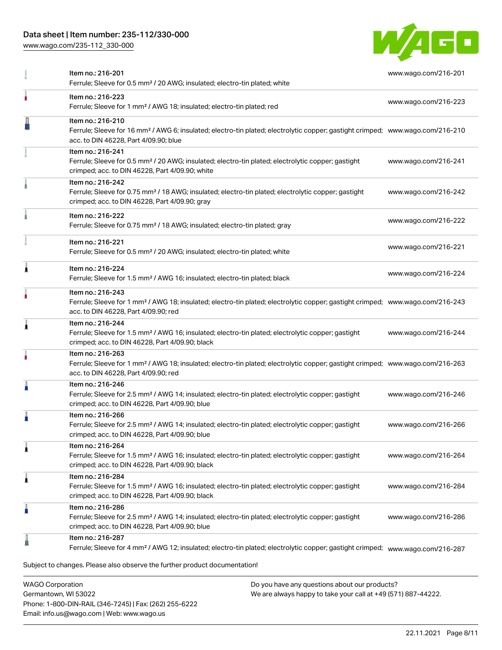# Data sheet | Item number: 235-112/330-000

[www.wago.com/235-112\\_330-000](http://www.wago.com/235-112_330-000)



|   | Item no.: 216-201<br>Ferrule; Sleeve for 0.5 mm <sup>2</sup> / 20 AWG; insulated; electro-tin plated; white                                                                                              | www.wago.com/216-201 |
|---|----------------------------------------------------------------------------------------------------------------------------------------------------------------------------------------------------------|----------------------|
|   | Item no.: 216-223<br>Ferrule; Sleeve for 1 mm <sup>2</sup> / AWG 18; insulated; electro-tin plated; red                                                                                                  | www.wago.com/216-223 |
|   | Item no.: 216-210<br>Ferrule; Sleeve for 16 mm <sup>2</sup> / AWG 6; insulated; electro-tin plated; electrolytic copper; gastight crimped; www.wago.com/216-210<br>acc. to DIN 46228, Part 4/09.90; blue |                      |
|   | Item no.: 216-241<br>Ferrule; Sleeve for 0.5 mm <sup>2</sup> / 20 AWG; insulated; electro-tin plated; electrolytic copper; gastight<br>crimped; acc. to DIN 46228, Part 4/09.90; white                   | www.wago.com/216-241 |
|   | Item no.: 216-242<br>Ferrule; Sleeve for 0.75 mm <sup>2</sup> / 18 AWG; insulated; electro-tin plated; electrolytic copper; gastight<br>crimped; acc. to DIN 46228, Part 4/09.90; gray                   | www.wago.com/216-242 |
|   | Item no.: 216-222<br>Ferrule; Sleeve for 0.75 mm <sup>2</sup> / 18 AWG; insulated; electro-tin plated; gray                                                                                              | www.wago.com/216-222 |
|   | Item no.: 216-221<br>Ferrule; Sleeve for 0.5 mm <sup>2</sup> / 20 AWG; insulated; electro-tin plated; white                                                                                              | www.wago.com/216-221 |
| Â | Item no.: 216-224<br>Ferrule; Sleeve for 1.5 mm <sup>2</sup> / AWG 16; insulated; electro-tin plated; black                                                                                              | www.wago.com/216-224 |
|   | Item no.: 216-243<br>Ferrule; Sleeve for 1 mm <sup>2</sup> / AWG 18; insulated; electro-tin plated; electrolytic copper; gastight crimped; www.wago.com/216-243<br>acc. to DIN 46228, Part 4/09.90; red  |                      |
| 1 | Item no.: 216-244<br>Ferrule; Sleeve for 1.5 mm <sup>2</sup> / AWG 16; insulated; electro-tin plated; electrolytic copper; gastight<br>crimped; acc. to DIN 46228, Part 4/09.90; black                   | www.wago.com/216-244 |
|   | Item no.: 216-263<br>Ferrule; Sleeve for 1 mm <sup>2</sup> / AWG 18; insulated; electro-tin plated; electrolytic copper; gastight crimped; www.wago.com/216-263<br>acc. to DIN 46228, Part 4/09.90; red  |                      |
| Å | Item no.: 216-246<br>Ferrule; Sleeve for 2.5 mm <sup>2</sup> / AWG 14; insulated; electro-tin plated; electrolytic copper; gastight<br>crimped; acc. to DIN 46228, Part 4/09.90; blue                    | www.wago.com/216-246 |
| A | Item no.: 216-266<br>Ferrule; Sleeve for 2.5 mm <sup>2</sup> / AWG 14; insulated; electro-tin plated; electrolytic copper; gastight<br>crimped; acc. to DIN 46228, Part 4/09.90; blue                    | www.wago.com/216-266 |
| 1 | Item no.: 216-264<br>Ferrule; Sleeve for 1.5 mm <sup>2</sup> / AWG 16; insulated; electro-tin plated; electrolytic copper; gastight<br>crimped; acc. to DIN 46228, Part 4/09.90; black                   | www.wago.com/216-264 |
| 1 | Item no.: 216-284<br>Ferrule; Sleeve for 1.5 mm <sup>2</sup> / AWG 16; insulated; electro-tin plated; electrolytic copper; gastight<br>crimped; acc. to DIN 46228, Part 4/09.90; black                   | www.wago.com/216-284 |
| Å | Item no.: 216-286<br>Ferrule; Sleeve for 2.5 mm <sup>2</sup> / AWG 14; insulated; electro-tin plated; electrolytic copper; gastight<br>crimped; acc. to DIN 46228, Part 4/09.90; blue                    | www.wago.com/216-286 |
|   | Item no.: 216-287<br>Ferrule; Sleeve for 4 mm <sup>2</sup> / AWG 12; insulated; electro-tin plated; electrolytic copper; gastight crimped; www.wago.com/216-287                                          |                      |
|   | Subject to changes. Please also observe the further product documentation!                                                                                                                               |                      |

WAGO Corporation Germantown, WI 53022 Phone: 1-800-DIN-RAIL (346-7245) | Fax: (262) 255-6222 Email: info.us@wago.com | Web: www.wago.us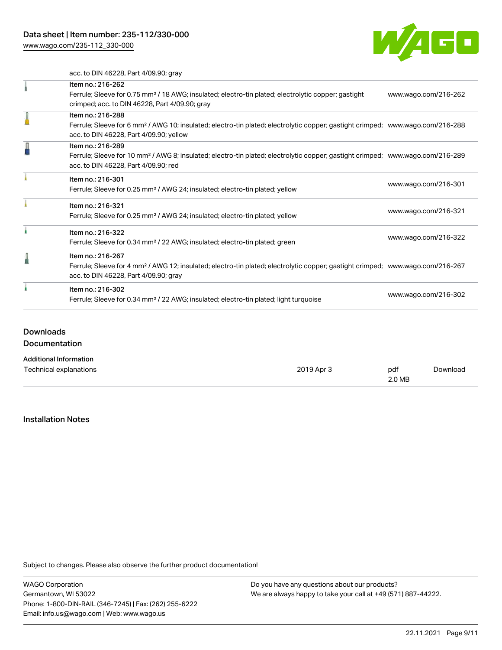[www.wago.com/235-112\\_330-000](http://www.wago.com/235-112_330-000)



acc. to DIN 46228, Part 4/09.90; gray

| Item no.: 216-262                                                                                                                          |                      |  |
|--------------------------------------------------------------------------------------------------------------------------------------------|----------------------|--|
| Ferrule; Sleeve for 0.75 mm <sup>2</sup> / 18 AWG; insulated; electro-tin plated; electrolytic copper; gastight                            | www.wago.com/216-262 |  |
| crimped; acc. to DIN 46228, Part 4/09.90; gray                                                                                             |                      |  |
| Item no.: 216-288                                                                                                                          |                      |  |
| Ferrule; Sleeve for 6 mm <sup>2</sup> / AWG 10; insulated; electro-tin plated; electrolytic copper; gastight crimped; www.wago.com/216-288 |                      |  |
| acc. to DIN 46228, Part 4/09.90; yellow                                                                                                    |                      |  |
| Item no.: 216-289                                                                                                                          |                      |  |
| Ferrule; Sleeve for 10 mm <sup>2</sup> / AWG 8; insulated; electro-tin plated; electrolytic copper; gastight crimped; www.wago.com/216-289 |                      |  |
| acc. to DIN 46228, Part 4/09.90; red                                                                                                       |                      |  |
| Item no.: 216-301                                                                                                                          |                      |  |
| Ferrule; Sleeve for 0.25 mm <sup>2</sup> / AWG 24; insulated; electro-tin plated; yellow                                                   | www.wago.com/216-301 |  |
| Item no.: 216-321                                                                                                                          |                      |  |
| Ferrule; Sleeve for 0.25 mm <sup>2</sup> / AWG 24; insulated; electro-tin plated; yellow                                                   | www.wago.com/216-321 |  |
| Item no.: 216-322                                                                                                                          |                      |  |
| Ferrule; Sleeve for 0.34 mm <sup>2</sup> / 22 AWG; insulated; electro-tin plated; green                                                    | www.wago.com/216-322 |  |
| Item no.: 216-267                                                                                                                          |                      |  |
| Ferrule; Sleeve for 4 mm <sup>2</sup> / AWG 12; insulated; electro-tin plated; electrolytic copper; gastight crimped; www.wago.com/216-267 |                      |  |
| acc. to DIN 46228, Part 4/09.90; gray                                                                                                      |                      |  |
| Item no.: 216-302                                                                                                                          |                      |  |
| Ferrule; Sleeve for 0.34 mm <sup>2</sup> / 22 AWG; insulated; electro-tin plated; light turquoise                                          | www.wago.com/216-302 |  |

# **Downloads**

Documentation

#### Additional Information

| Technical explanations | 2019 Apr 3 | pdf    | Download |
|------------------------|------------|--------|----------|
|                        |            | 2.0 MB |          |

#### Installation Notes

Subject to changes. Please also observe the further product documentation!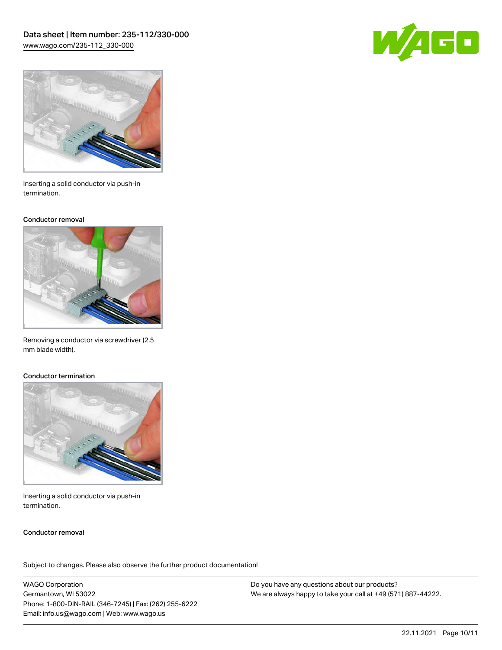



Inserting a solid conductor via push-in termination.

#### Conductor removal



Removing a conductor via screwdriver (2.5 mm blade width).

#### Conductor termination



Inserting a solid conductor via push-in termination.

#### Conductor removal

Subject to changes. Please also observe the further product documentation!

WAGO Corporation Germantown, WI 53022 Phone: 1-800-DIN-RAIL (346-7245) | Fax: (262) 255-6222 Email: info.us@wago.com | Web: www.wago.us